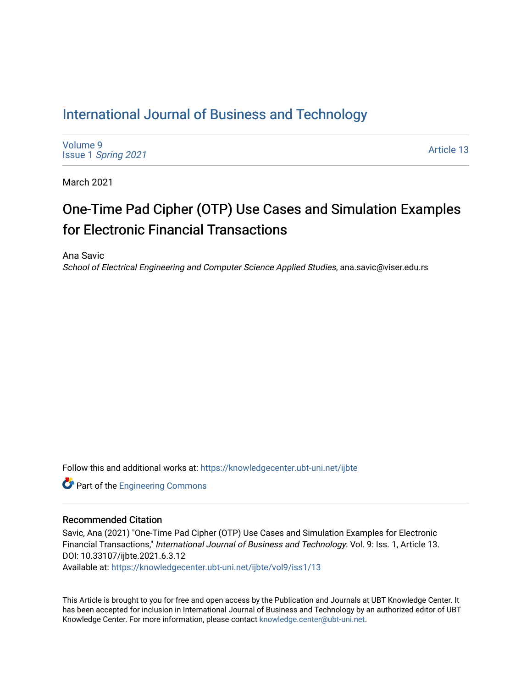## [International Journal of Business and Technology](https://knowledgecenter.ubt-uni.net/ijbte)

[Volume 9](https://knowledgecenter.ubt-uni.net/ijbte/vol9) Issue 1 [Spring 2021](https://knowledgecenter.ubt-uni.net/ijbte/vol9/iss1) 

[Article 13](https://knowledgecenter.ubt-uni.net/ijbte/vol9/iss1/13) 

March 2021

# One-Time Pad Cipher (OTP) Use Cases and Simulation Examples for Electronic Financial Transactions

Ana Savic

School of Electrical Engineering and Computer Science Applied Studies, ana.savic@viser.edu.rs

Follow this and additional works at: [https://knowledgecenter.ubt-uni.net/ijbte](https://knowledgecenter.ubt-uni.net/ijbte?utm_source=knowledgecenter.ubt-uni.net%2Fijbte%2Fvol9%2Fiss1%2F13&utm_medium=PDF&utm_campaign=PDFCoverPages) 

**Part of the [Engineering Commons](https://network.bepress.com/hgg/discipline/217?utm_source=knowledgecenter.ubt-uni.net%2Fijbte%2Fvol9%2Fiss1%2F13&utm_medium=PDF&utm_campaign=PDFCoverPages)** 

#### Recommended Citation

Savic, Ana (2021) "One-Time Pad Cipher (OTP) Use Cases and Simulation Examples for Electronic Financial Transactions," International Journal of Business and Technology: Vol. 9: Iss. 1, Article 13. DOI: 10.33107/ijbte.2021.6.3.12

Available at: [https://knowledgecenter.ubt-uni.net/ijbte/vol9/iss1/13](https://knowledgecenter.ubt-uni.net/ijbte/vol9/iss1/13?utm_source=knowledgecenter.ubt-uni.net%2Fijbte%2Fvol9%2Fiss1%2F13&utm_medium=PDF&utm_campaign=PDFCoverPages) 

This Article is brought to you for free and open access by the Publication and Journals at UBT Knowledge Center. It has been accepted for inclusion in International Journal of Business and Technology by an authorized editor of UBT Knowledge Center. For more information, please contact [knowledge.center@ubt-uni.net](mailto:knowledge.center@ubt-uni.net).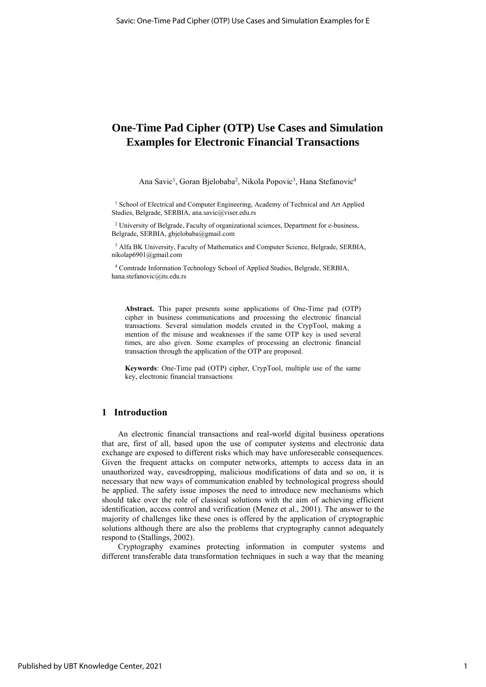### **One-Time Pad Cipher (OTP) Use Cases and Simulation Examples for Electronic Financial Transactions**

Ana Savic<sup>1</sup>, Goran Bjelobaba<sup>2</sup>, Nikola Popovic<sup>3</sup>, Hana Stefanovic<sup>4</sup>

<sup>1</sup> School of Electrical and Computer Engineering, Academy of Technical and Art Applied Studies, Belgrade, SERBIA[, ana.savic@viser.edu.rs](mailto:ana.savic@viser.edu.rs)

<sup>2</sup> University of Belgrade, Faculty of organizational sciences, Department for e-business, Belgrade, SERBIA, [gbjelobaba@gmail.com](mailto:gbjelobaba@gmail.com)

<sup>3</sup> Alfa BK University, Faculty of Mathematics and Computer Science, Belgrade, SERBIA, [nikolap6901@gmail.com](mailto:nikolap6901@gmail.com)

<sup>4</sup> Comtrade Information Technology School of Applied Studies, Belgrade, SERBIA, [hana.stefanovic@its.edu.rs](mailto:hana.stefanovic@its.edu.rs)

**Abstract.** This paper presents some applications of One-Time pad (OTP) cipher in business communications and processing the electronic financial transactions. Several simulation models created in the CrypTool, making a mention of the misuse and weaknesses if the same OTP key is used several times, are also given. Some examples of processing an electronic financial transaction through the application of the OTP are proposed.

**Keywords**: One-Time pad (OTP) cipher, CrypTool, multiple use of the same key, electronic financial transactions

#### **1 Introduction**

An electronic financial transactions and real-world digital business operations that are, first of all, based upon the use of computer systems and electronic data exchange are exposed to different risks which may have unforeseeable consequences. Given the frequent attacks on computer networks, attempts to access data in an unauthorized way, eavesdropping, malicious modifications of data and so on, it is necessary that new ways of communication enabled by technological progress should be applied. The safety issue imposes the need to introduce new mechanisms which should take over the role of classical solutions with the aim of achieving efficient identification, access control and verification (Menez et al., 2001). The answer to the majority of challenges like these ones is offered by the application of cryptographic solutions although there are also the problems that cryptography cannot adequately respond to (Stallings, 2002).

Cryptography examines protecting information in computer systems and different transferable data transformation techniques in such a way that the meaning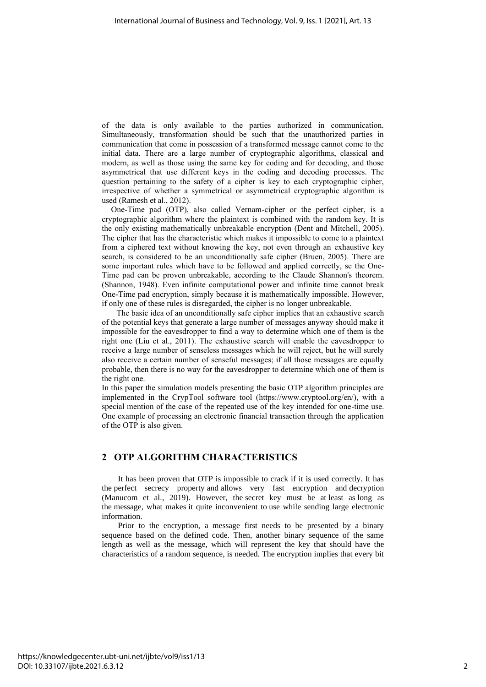of the data is only available to the parties authorized in communication. Simultaneously, transformation should be such that the unauthorized parties in communication that come in possession of a transformed message cannot come to the initial data. There are a large number of cryptographic algorithms, classical and modern, as well as those using the same key for coding and for decoding, and those asymmetrical that use different keys in the coding and decoding processes. The question pertaining to the safety of a cipher is key to each cryptographic cipher, irrespective of whether a symmetrical or asymmetrical cryptographic algorithm is used (Ramesh et al., 2012).

One-Time pad (OTP), also called Vernam-cipher or the perfect cipher, is a cryptographic algorithm where the plaintext is combined with the random key. It is the only existing mathematically unbreakable encryption (Dent and Mitchell, 2005). The cipher that has the characteristic which makes it impossible to come to a plaintext from a ciphered text without knowing the key, not even through an exhaustive key search, is considered to be an unconditionally safe cipher (Bruen, 2005). There are some important rules which have to be followed and applied correctly, se the One-Time pad can be proven unbreakable, according to the Claude Shannon's theorem. (Shannon, 1948). Even infinite computational power and infinite time cannot break One-Time pad encryption, simply because it is mathematically impossible. However, if only one of these rules is disregarded, the cipher is no longer unbreakable.

The basic idea of an unconditionally safe cipher implies that an exhaustive search of the potential keys that generate a large number of messages anyway should make it impossible for the eavesdropper to find a way to determine which one of them is the right one (Liu et al., 2011). The exhaustive search will enable the eavesdropper to receive a large number of senseless messages which he will reject, but he will surely also receive a certain number of senseful messages; if all those messages are equally probable, then there is no way for the eavesdropper to determine which one of them is the right one.

In this paper the simulation models presenting the basic OTP algorithm principles are implemented in the CrypTool software tool [\(https://www.cryptool.org/en/\)](https://www.cryptool.org/en/), with a special mention of the case of the repeated use of the key intended for one-time use. One example of processing an electronic financial transaction through the application of the OTP is also given.

#### **2 OTP ALGORITHM CHARACTERISTICS**

It has been proven that OTP is impossible to crack if it is used correctly. It has the perfect secrecy property and allows very fast encryption and decryption (Manucom et al., 2019). However, the secret key must be at least as long as the message, what makes it quite inconvenient to use while sending large electronic information.

Prior to the encryption, a message first needs to be presented by a binary sequence based on the defined code. Then, another binary sequence of the same length as well as the message, which will represent the key that should have the characteristics of a random sequence, is needed. The encryption implies that every bit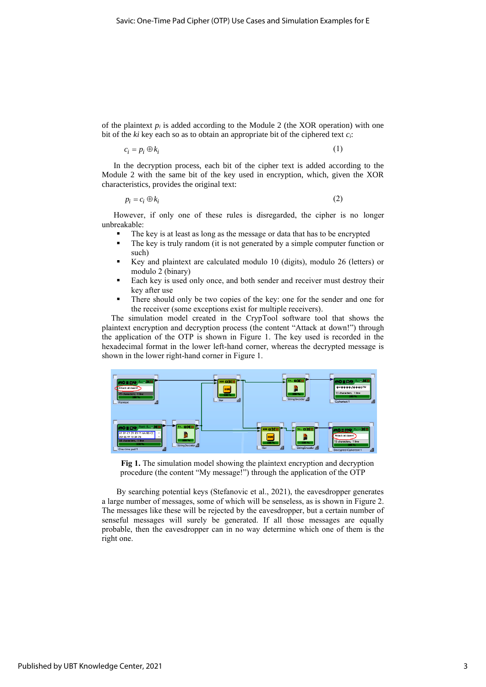of the plaintext  $p_i$  is added according to the Module 2 (the XOR operation) with one bit of the *ki* key each so as to obtain an appropriate bit of the ciphered text *ci*:

$$
c_i = p_i \oplus k_i \tag{1}
$$

In the decryption process, each bit of the cipher text is added according to the Module 2 with the same bit of the key used in encryption, which, given the XOR characteristics, provides the original text:

$$
p_i = c_i \oplus k_i \tag{2}
$$

However, if only one of these rules is disregarded, the cipher is no longer unbreakable:

- The key is at least as long as the message or data that has to be encrypted
- The key is truly random (it is not generated by a simple computer function or such)
- Key and plaintext are calculated modulo 10 (digits), modulo 26 (letters) or modulo 2 (binary)
- Each key is used only once, and both sender and receiver must destroy their key after use
- There should only be two copies of the key: one for the sender and one for the receiver (some exceptions exist for multiple receivers).

The simulation model created in the CrypTool software tool that shows the plaintext encryption and decryption process (the content "Attack at down!") through the application of the OTP is shown in Figure 1. The key used is recorded in the hexadecimal format in the lower left-hand corner, whereas the decrypted message is shown in the lower right-hand corner in Figure 1.



**Fig 1.** The simulation model showing the plaintext encryption and decryption procedure (the content "My message!") through the application of the OTP

By searching potential keys (Stefanovic et al., 2021), the eavesdropper generates a large number of messages, some of which will be senseless, as is shown in Figure 2. The messages like these will be rejected by the eavesdropper, but a certain number of senseful messages will surely be generated. If all those messages are equally probable, then the eavesdropper can in no way determine which one of them is the right one.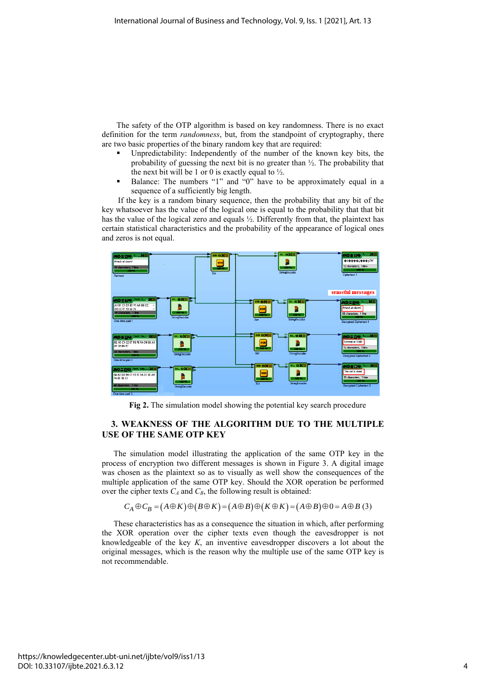The safety of the OTP algorithm is based on key randomness. There is no exact definition for the term *randomness*, but, from the standpoint of cryptography, there are two basic properties of the binary random key that are required:

- Unpredictability: Independently of the number of the known key bits, the probability of guessing the next bit is no greater than ½. The probability that the next bit will be 1 or 0 is exactly equal to  $\frac{1}{2}$ .
- Balance: The numbers "1" and "0" have to be approximately equal in a sequence of a sufficiently big length.

If the key is a random binary sequence, then the probability that any bit of the key whatsoever has the value of the logical one is equal to the probability that that bit has the value of the logical zero and equals ½. Differently from that, the plaintext has certain statistical characteristics and the probability of the appearance of logical ones and zeros is not equal.



**Fig 2.** The simulation model showing the potential key search procedure

#### **3. WEAKNESS OF THE ALGORITHM DUE TO THE MULTIPLE USE OF THE SAME OTP KEY**

The simulation model illustrating the application of the same OTP key in the process of encryption two different messages is shown in Figure 3. A digital image was chosen as the plaintext so as to visually as well show the consequences of the multiple application of the same OTP key. Should the XOR operation be performed over the cipher texts  $C_A$  and  $C_B$ , the following result is obtained:

 $C_A \oplus C_B = (A \oplus K) \oplus (B \oplus K) = (A \oplus B) \oplus (K \oplus K) = (A \oplus B) \oplus 0 = A \oplus B$  (3)

These characteristics has as a consequence the situation in which, after performing the XOR operation over the cipher texts even though the eavesdropper is not knowledgeable of the key *K*, an inventive eavesdropper discovers a lot about the original messages, which is the reason why the multiple use of the same OTP key is not recommendable.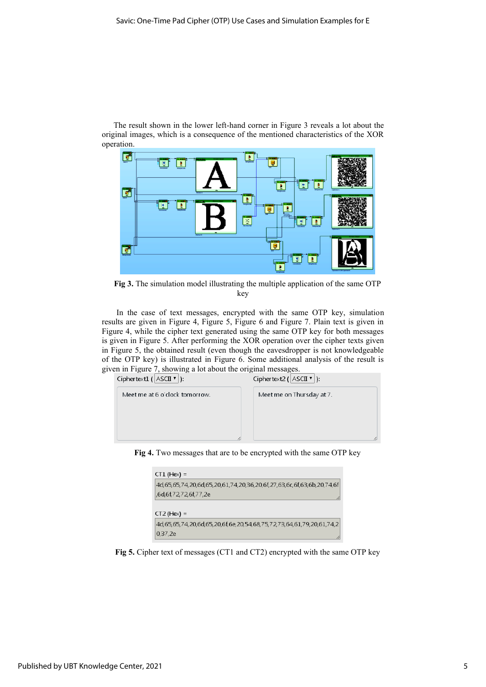The result shown in the lower left-hand corner in Figure 3 reveals a lot about the original images, which is a consequence of the mentioned characteristics of the XOR operation.



**Fig 3.** The simulation model illustrating the multiple application of the same OTP key

In the case of text messages, encrypted with the same OTP key, simulation results are given in Figure 4, Figure 5, Figure 6 and Figure 7. Plain text is given in Figure 4, while the cipher text generated using the same OTP key for both messages is given in Figure 5. After performing the XOR operation over the cipher texts given in Figure 5, the obtained result (even though the eavesdropper is not knowledgeable of the OTP key) is illustrated in Figure 6. Some additional analysis of the result is given in Figure 7, showing a lot about the original messages.

| Ciphertext1 ( $ \text{ASCII } \mathbf{v} $ ): | Ciphertext2 ( $ \text{ASCII } \mathbf{v} $ ): |
|-----------------------------------------------|-----------------------------------------------|
| Meet me at 6 o'clock tomorrow.                | Meet me on Thursday at 7.                     |
|                                               |                                               |
|                                               |                                               |
|                                               |                                               |

**Fig 4.** Two messages that are to be encrypted with the same OTP key

| $CT1$ (Hex) =                                                                              |
|--------------------------------------------------------------------------------------------|
| 4d, 65, 65, 74, 20, 6d, 65, 20, 61, 74, 20, 36, 20, 6f, 27, 63, 6c, 6f, 63, 6b, 20, 74, 6f |
| 6d,6f,72,72,6f,77,2e,                                                                      |
|                                                                                            |
| $CT2$ (Hex) =                                                                              |
| 4d, 65, 65, 74, 20, 6d, 65, 20, 6f, 6e, 20, 54, 68, 75, 72, 73, 64, 61, 79, 20, 61, 74, 2  |
| 0,37,2e                                                                                    |

**Fig 5.** Cipher text of messages (CT1 and CT2) encrypted with the same OTP key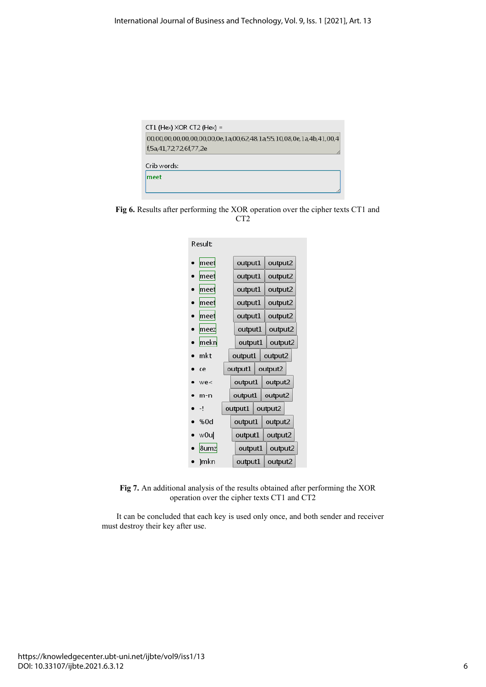

**Fig 6.** Results after performing the XOR operation over the cipher texts CT1 and CT2



**Fig 7.** An additional analysis of the results obtained after performing the XOR operation over the cipher texts CT1 and CT2

It can be concluded that each key is used only once, and both sender and receiver must destroy their key after use.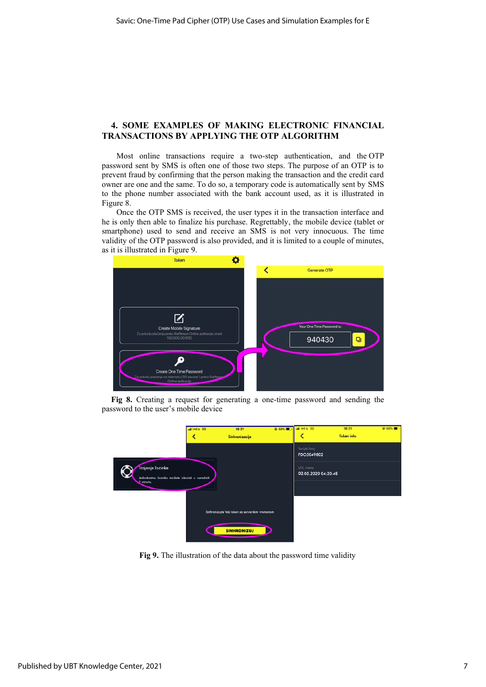#### **4. SOME EXAMPLES OF MAKING ELECTRONIC FINANCIAL TRANSACTIONS BY APPLYING THE OTP ALGORITHM**

Most online transactions require a two-step authentication, and the OTP password sent by SMS is often one of those two steps. The purpose of an OTP is to prevent fraud by confirming that the person making the transaction and the credit card owner are one and the same. To do so, a temporary code is automatically sent by SMS to the phone number associated with the bank account used, as it is illustrated in Figure 8.

Once the OTP SMS is received, the user types it in the transaction interface and he is only then able to finalize his purchase. Regrettably, the mobile device (tablet or smartphone) used to send and receive an SMS is not very innocuous. The time validity of the OTP password is also provided, and it is limited to a couple of minutes, as it is illustrated in Figure 9.



**Fig 8.** Creating a request for generating a one-time password and sending the password to the user's mobile device



**Fig 9.** The illustration of the data about the password time validity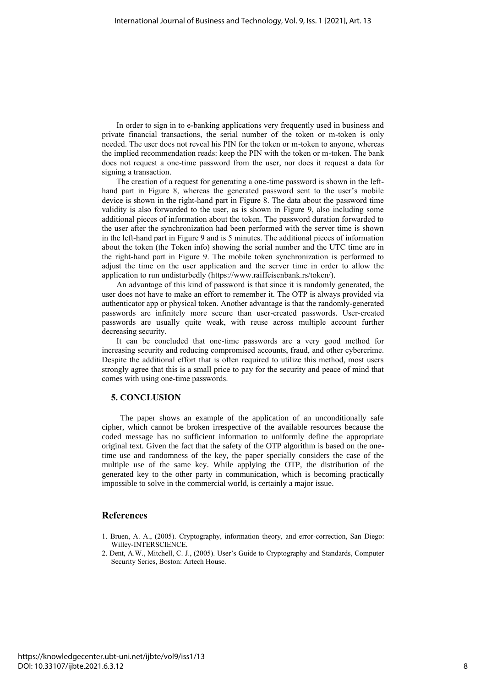In order to sign in to e-banking applications very frequently used in business and private financial transactions, the serial number of the token or m-token is only needed. The user does not reveal his PIN for the token or m-token to anyone, whereas the implied recommendation reads: keep the PIN with the token or m-token. The bank does not request a one-time password from the user, nor does it request a data for signing a transaction.

The creation of a request for generating a one-time password is shown in the lefthand part in Figure 8, whereas the generated password sent to the user's mobile device is shown in the right-hand part in Figure 8. The data about the password time validity is also forwarded to the user, as is shown in Figure 9, also including some additional pieces of information about the token. The password duration forwarded to the user after the synchronization had been performed with the server time is shown in the left-hand part in Figure 9 and is 5 minutes. The additional pieces of information about the token (the Token info) showing the serial number and the UTC time are in the right-hand part in Figure 9. The mobile token synchronization is performed to adjust the time on the user application and the server time in order to allow the application to run undisturbedly (https://www.raiffeisenbank.rs/token/).

An advantage of this kind of password is that since it is randomly generated, the user does not have to make an effort to remember it. The OTP is always provided via authenticator app or physical token. Another advantage is that the randomly-generated passwords are infinitely more secure than user-created passwords. User-created passwords are usually quite weak, with reuse across multiple account further decreasing security.

It can be concluded that one-time passwords are a very good method for increasing security and reducing compromised accounts, fraud, and other cybercrime. Despite the additional effort that is often required to utilize this method, most users strongly agree that this is a small price to pay for the security and peace of mind that comes with using one-time passwords.

#### **5. CONCLUSION**

The paper shows an example of the application of an unconditionally safe cipher, which cannot be broken irrespective of the available resources because the coded message has no sufficient information to uniformly define the appropriate original text. Given the fact that the safety of the OTP algorithm is based on the onetime use and randomness of the key, the paper specially considers the case of the multiple use of the same key. While applying the OTP, the distribution of the generated key to the other party in communication, which is becoming practically impossible to solve in the commercial world, is certainly a major issue.

#### **References**

- 1. Bruen, A. A., (2005). Cryptography, information theory, and error-correction, San Diego: Willey-INTERSCIENCE.
- 2. Dent, A.W., Mitchell, C. J., (2005). User's Guide to Cryptography and Standards, Computer Security Series, Boston: Artech House.